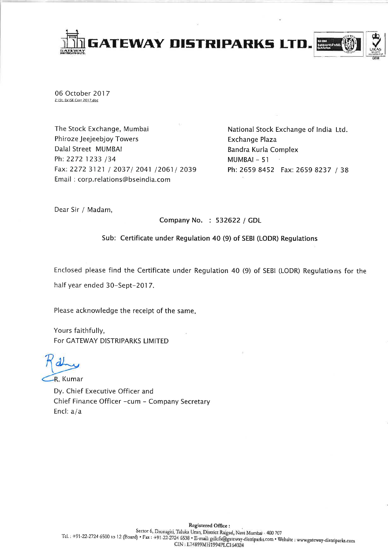

06 October 2017 Z:\St. Ex\SE Corr 2017.doc

The Stock Exchange, Mumbai Phiroze Jeejeebjoy Towers Dalal Street MUMBAI Ph: 2272 1233 /34 Fax: 2272 3121 / 2037/ 2041 /2061/ 2039 Email: corp.relations@bseindia.com

National Stock Exchange of India Ltd. **Exchange Plaza** Bandra Kurla Complex MUMBAI-51 Ph: 2659 8452 Fax: 2659 8237 / 38

Dear Sir / Madam,

Company No. : 532622 / GDL

Sub: Certificate under Regulation 40 (9) of SEBI (LODR) Regulations

Enclosed please find the Certificate under Regulation 40 (9) of SEBI (LODR) Regulations for the half year ended 30-Sept-2017.

Please acknowledge the receipt of the same.

Yours faithfully, For GATEWAY DISTRIPARKS LIMITED

-R. Kumar

Dy. Chief Executive Officer and Chief Finance Officer -cum - Company Secretary Encl:  $a/a$